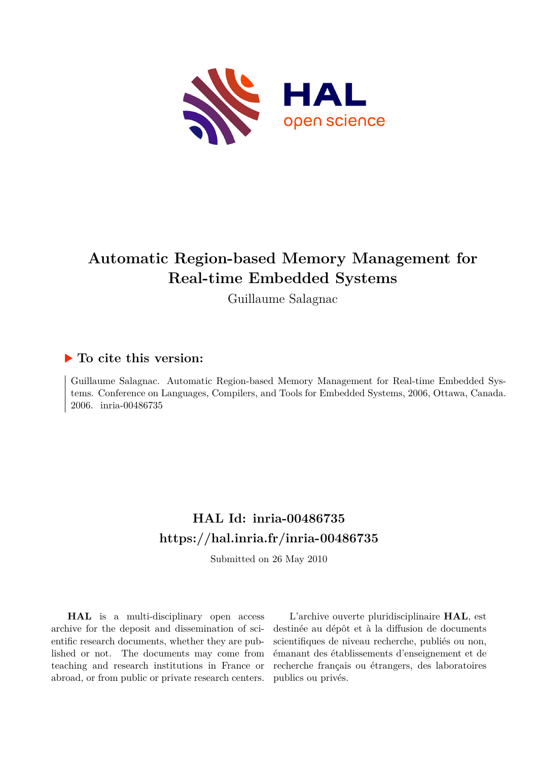

# **Automatic Region-based Memory Management for Real-time Embedded Systems**

Guillaume Salagnac

## **To cite this version:**

Guillaume Salagnac. Automatic Region-based Memory Management for Real-time Embedded Systems. Conference on Languages, Compilers, and Tools for Embedded Systems, 2006, Ottawa, Canada. 2006. inria-00486735

## **HAL Id: inria-00486735 <https://hal.inria.fr/inria-00486735>**

Submitted on 26 May 2010

**HAL** is a multi-disciplinary open access archive for the deposit and dissemination of scientific research documents, whether they are published or not. The documents may come from teaching and research institutions in France or abroad, or from public or private research centers.

L'archive ouverte pluridisciplinaire **HAL**, est destinée au dépôt et à la diffusion de documents scientifiques de niveau recherche, publiés ou non, émanant des établissements d'enseignement et de recherche français ou étrangers, des laboratoires publics ou privés.